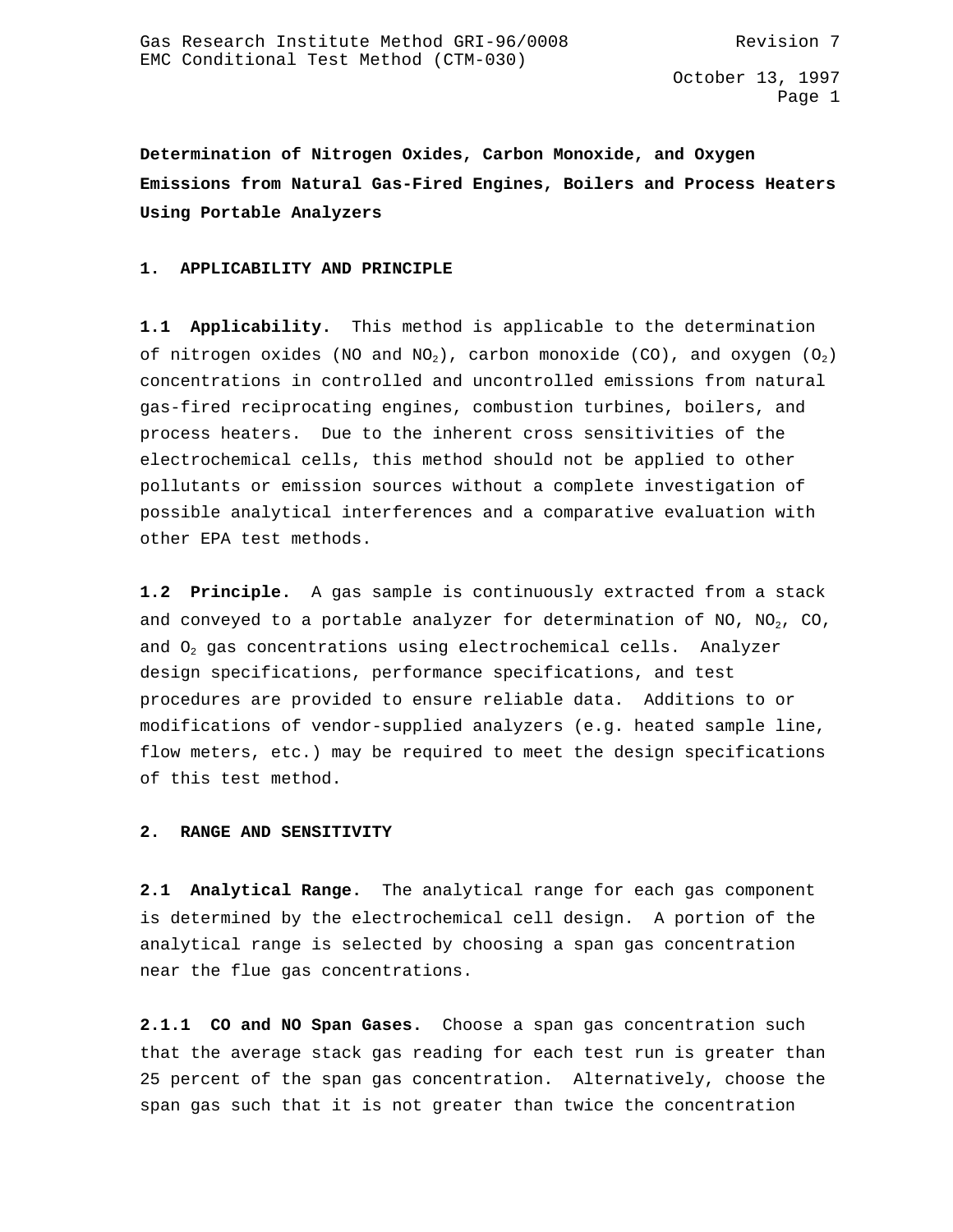**Determination of Nitrogen Oxides, Carbon Monoxide, and Oxygen Emissions from Natural Gas-Fired Engines, Boilers and Process Heaters Using Portable Analyzers**

#### **1. APPLICABILITY AND PRINCIPLE**

**1.1 Applicability.** This method is applicable to the determination of nitrogen oxides (NO and NO<sub>2</sub>), carbon monoxide (CO), and oxygen (O<sub>2</sub>) concentrations in controlled and uncontrolled emissions from natural gas-fired reciprocating engines, combustion turbines, boilers, and process heaters. Due to the inherent cross sensitivities of the electrochemical cells, this method should not be applied to other pollutants or emission sources without a complete investigation of possible analytical interferences and a comparative evaluation with other EPA test methods.

**1.2 Principle.** A gas sample is continuously extracted from a stack and conveyed to a portable analyzer for determination of NO, NO<sub>2</sub>, CO, and  $O_2$  gas concentrations using electrochemical cells. Analyzer design specifications, performance specifications, and test procedures are provided to ensure reliable data. Additions to or modifications of vendor-supplied analyzers (e.g. heated sample line, flow meters, etc.) may be required to meet the design specifications of this test method.

#### **2. RANGE AND SENSITIVITY**

**2.1 Analytical Range.** The analytical range for each gas component is determined by the electrochemical cell design. A portion of the analytical range is selected by choosing a span gas concentration near the flue gas concentrations.

**2.1.1 CO and NO Span Gases.** Choose a span gas concentration such that the average stack gas reading for each test run is greater than 25 percent of the span gas concentration. Alternatively, choose the span gas such that it is not greater than twice the concentration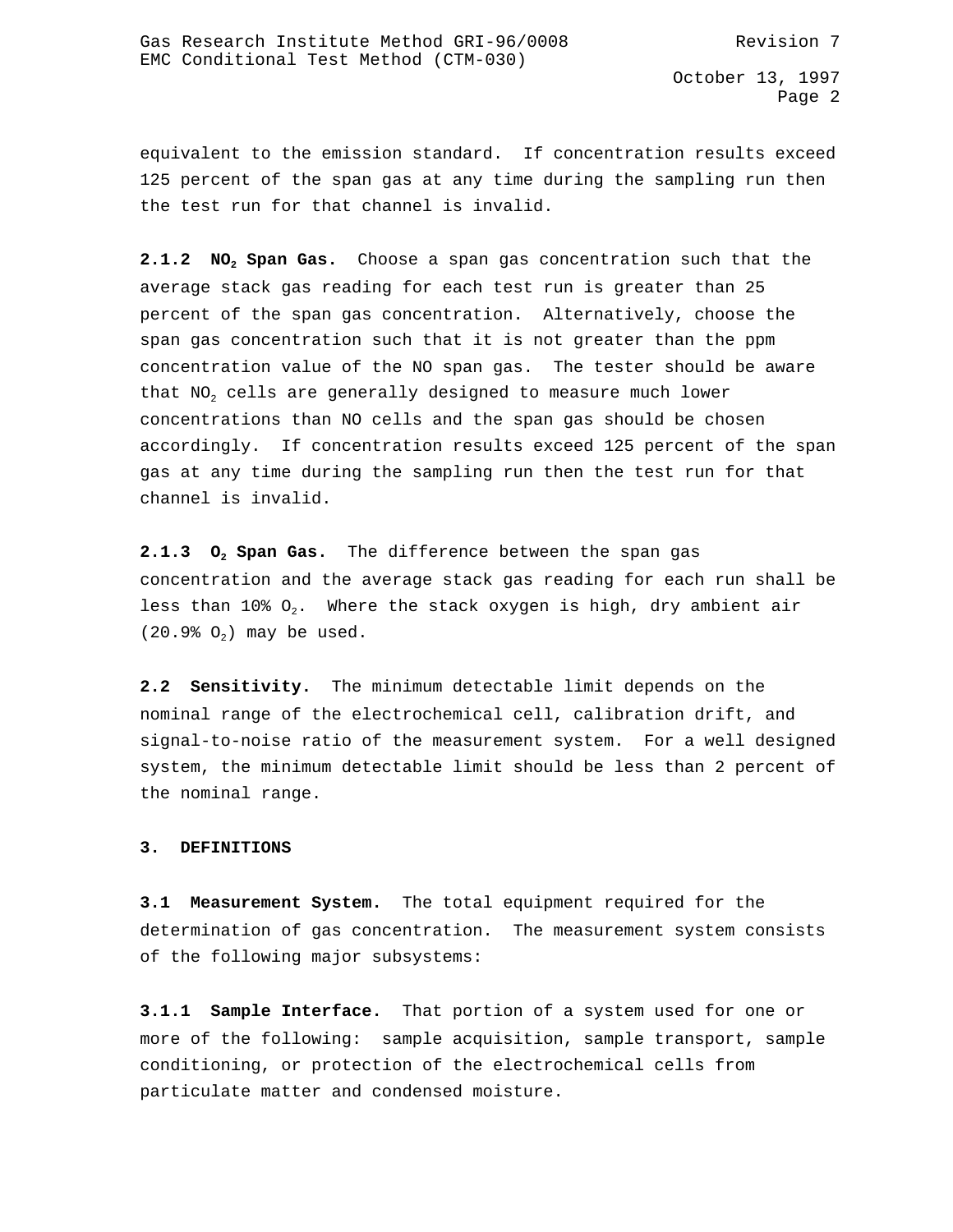equivalent to the emission standard. If concentration results exceed 125 percent of the span gas at any time during the sampling run then the test run for that channel is invalid.

**2.1.2 NO2 Span Gas.** Choose a span gas concentration such that the average stack gas reading for each test run is greater than 25 percent of the span gas concentration. Alternatively, choose the span gas concentration such that it is not greater than the ppm concentration value of the NO span gas. The tester should be aware that  $NO<sub>2</sub>$  cells are generally designed to measure much lower concentrations than NO cells and the span gas should be chosen accordingly. If concentration results exceed 125 percent of the span gas at any time during the sampling run then the test run for that channel is invalid.

**2.1.3 O2 Span Gas.** The difference between the span gas concentration and the average stack gas reading for each run shall be less than 10%  $O_2$ . Where the stack oxygen is high, dry ambient air  $(20.9% 0<sub>2</sub>)$  may be used.

**2.2 Sensitivity.** The minimum detectable limit depends on the nominal range of the electrochemical cell, calibration drift, and signal-to-noise ratio of the measurement system. For a well designed system, the minimum detectable limit should be less than 2 percent of the nominal range.

### **3. DEFINITIONS**

**3.1 Measurement System.** The total equipment required for the determination of gas concentration. The measurement system consists of the following major subsystems:

**3.1.1 Sample Interface.** That portion of a system used for one or more of the following: sample acquisition, sample transport, sample conditioning, or protection of the electrochemical cells from particulate matter and condensed moisture.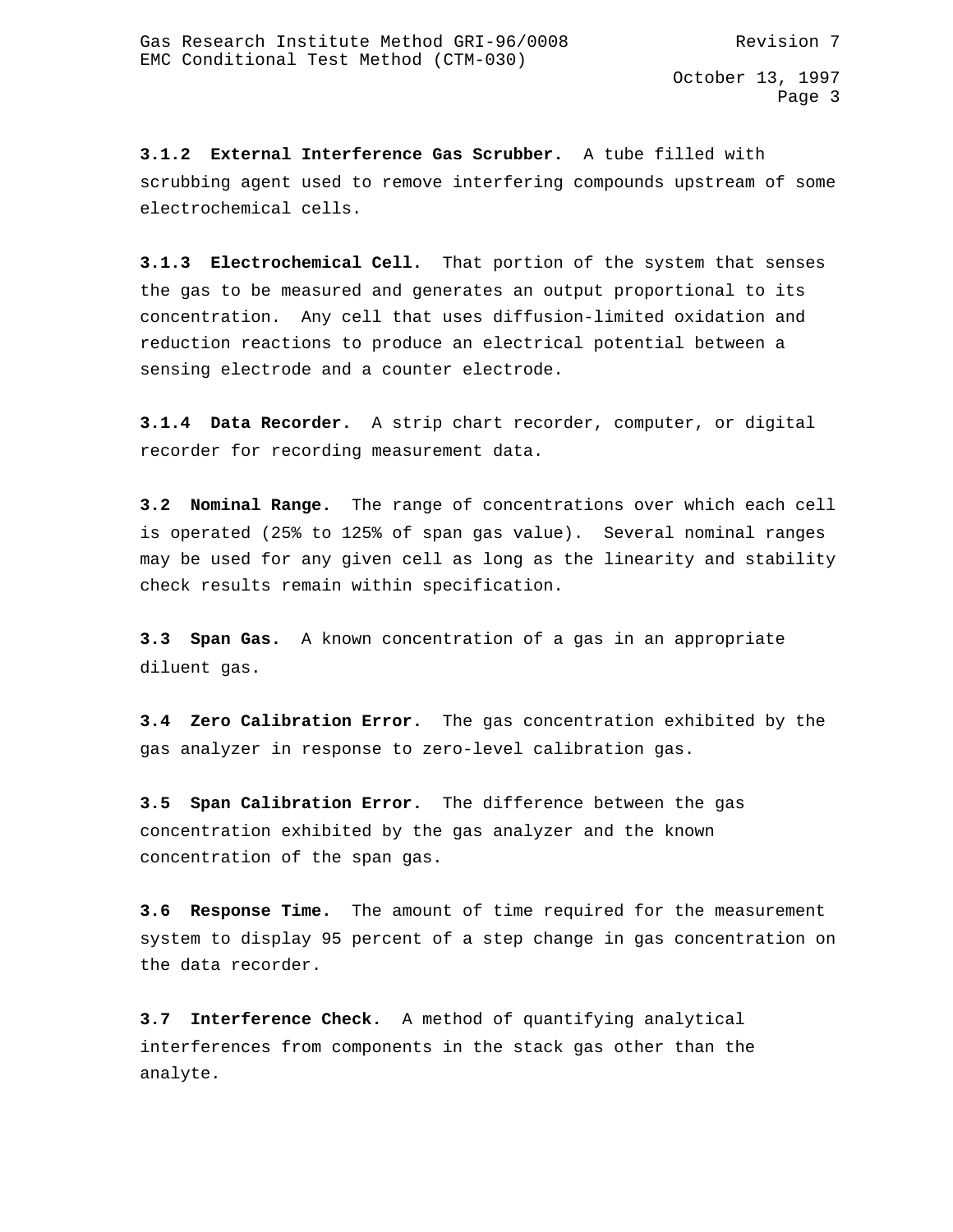**3.1.2 External Interference Gas Scrubber.** A tube filled with scrubbing agent used to remove interfering compounds upstream of some electrochemical cells.

**3.1.3 Electrochemical Cell.** That portion of the system that senses the gas to be measured and generates an output proportional to its concentration. Any cell that uses diffusion-limited oxidation and reduction reactions to produce an electrical potential between a sensing electrode and a counter electrode.

**3.1.4 Data Recorder.** A strip chart recorder, computer, or digital recorder for recording measurement data.

**3.2 Nominal Range.** The range of concentrations over which each cell is operated (25% to 125% of span gas value). Several nominal ranges may be used for any given cell as long as the linearity and stability check results remain within specification.

**3.3 Span Gas.** A known concentration of a gas in an appropriate diluent gas.

**3.4 Zero Calibration Error.** The gas concentration exhibited by the gas analyzer in response to zero-level calibration gas.

**3.5 Span Calibration Error.** The difference between the gas concentration exhibited by the gas analyzer and the known concentration of the span gas.

**3.6 Response Time.** The amount of time required for the measurement system to display 95 percent of a step change in gas concentration on the data recorder.

**3.7 Interference Check.** A method of quantifying analytical interferences from components in the stack gas other than the analyte.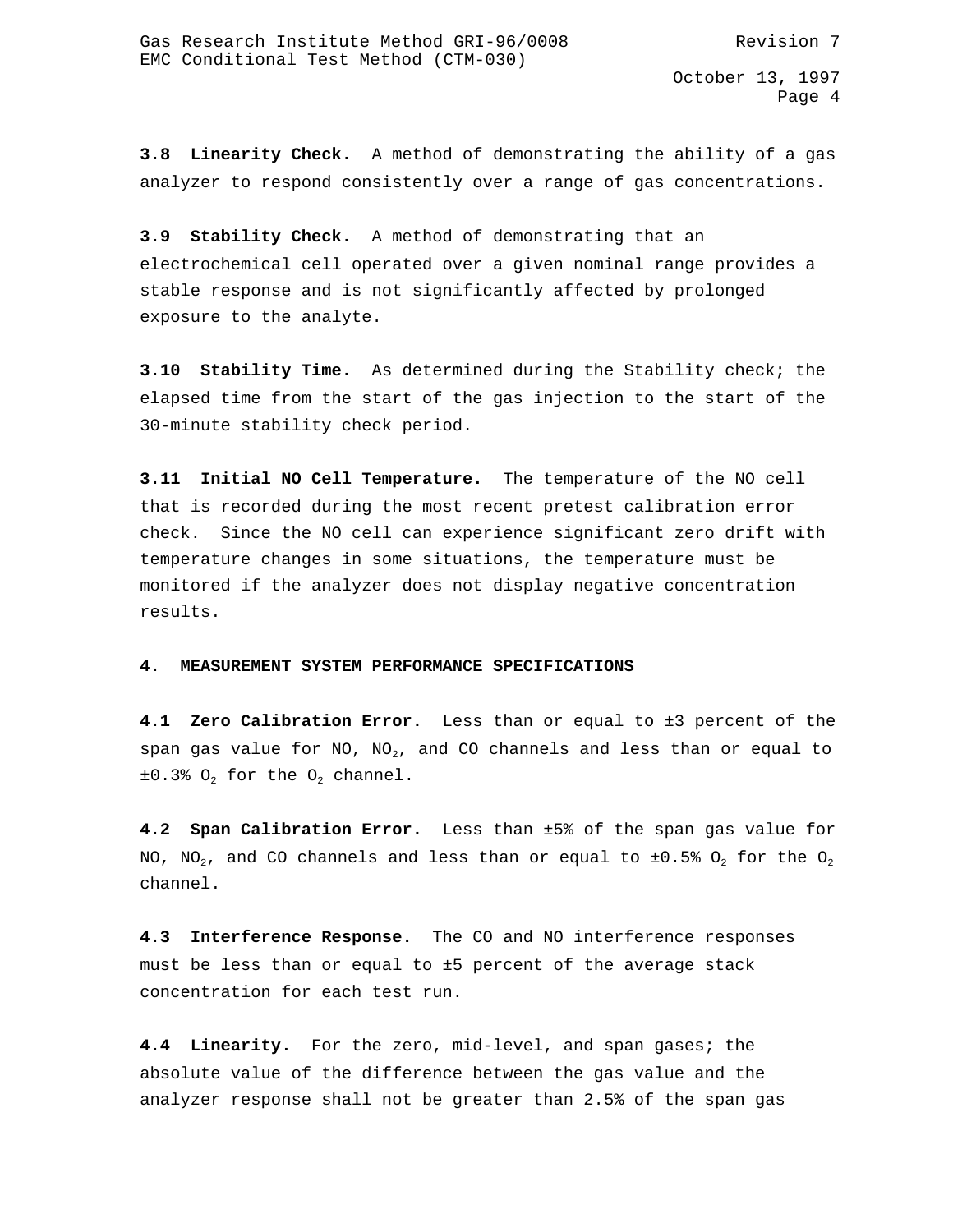**3.8 Linearity Check.** A method of demonstrating the ability of a gas analyzer to respond consistently over a range of gas concentrations.

**3.9 Stability Check.** A method of demonstrating that an electrochemical cell operated over a given nominal range provides a stable response and is not significantly affected by prolonged exposure to the analyte.

**3.10 Stability Time.** As determined during the Stability check; the elapsed time from the start of the gas injection to the start of the 30-minute stability check period.

**3.11 Initial NO Cell Temperature.** The temperature of the NO cell that is recorded during the most recent pretest calibration error check. Since the NO cell can experience significant zero drift with temperature changes in some situations, the temperature must be monitored if the analyzer does not display negative concentration results.

### **4. MEASUREMENT SYSTEM PERFORMANCE SPECIFICATIONS**

**4.1 Zero Calibration Error.** Less than or equal to ±3 percent of the span gas value for NO, NO<sub>2</sub>, and CO channels and less than or equal to  $\pm 0.3$ % O<sub>2</sub> for the O<sub>2</sub> channel.

**4.2 Span Calibration Error.** Less than ±5% of the span gas value for NO, NO<sub>2</sub>, and CO channels and less than or equal to  $\pm 0.5$ % O<sub>2</sub> for the O<sub>2</sub> channel.

**4.3 Interference Response.** The CO and NO interference responses must be less than or equal to ±5 percent of the average stack concentration for each test run.

**4.4 Linearity.** For the zero, mid-level, and span gases; the absolute value of the difference between the gas value and the analyzer response shall not be greater than 2.5% of the span gas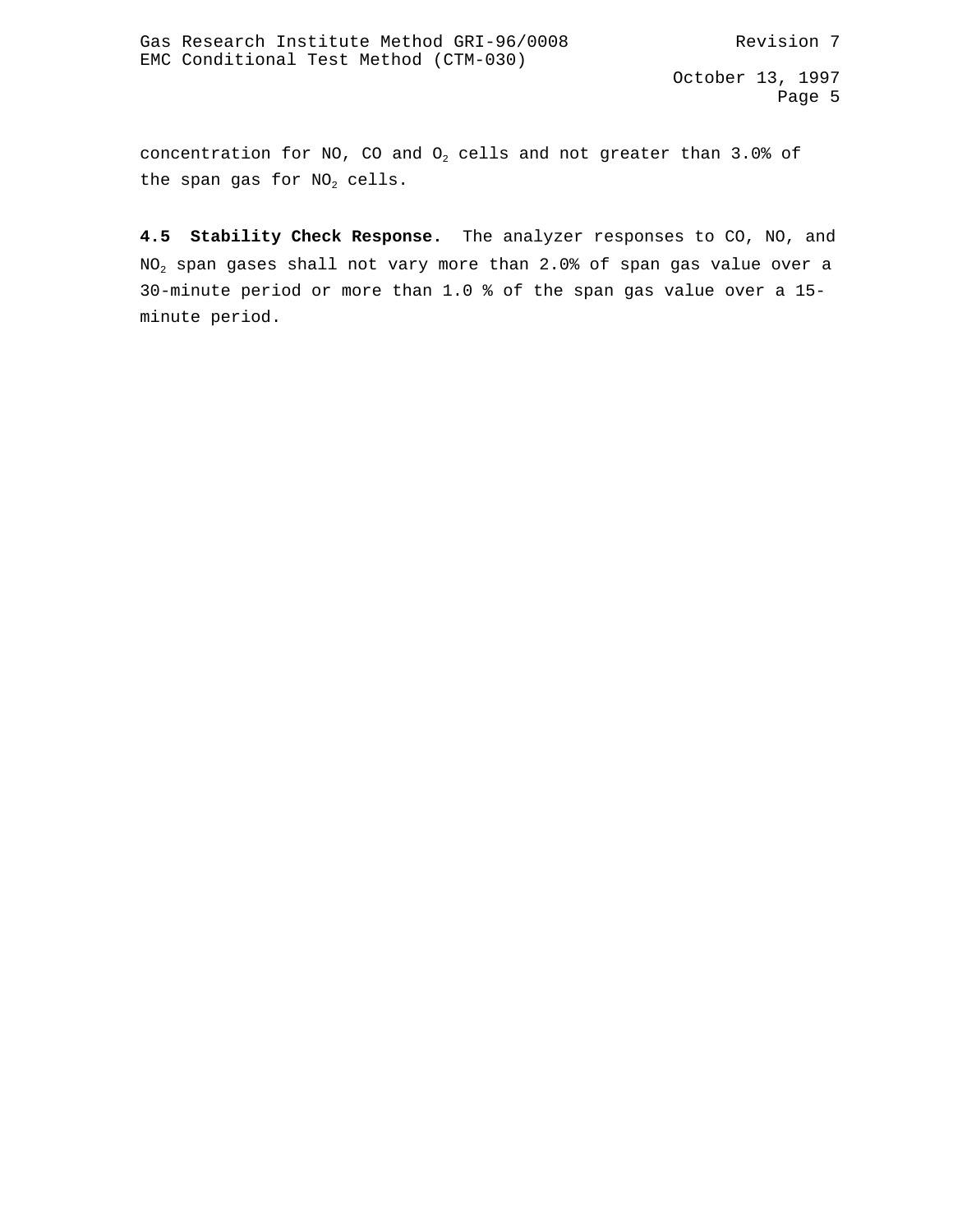concentration for NO, CO and  $O<sub>2</sub>$  cells and not greater than 3.0% of the span gas for  $NO<sub>2</sub>$  cells.

**4.5 Stability Check Response.** The analyzer responses to CO, NO, and  $NO<sub>2</sub>$  span gases shall not vary more than 2.0% of span gas value over a 30-minute period or more than 1.0 % of the span gas value over a 15 minute period.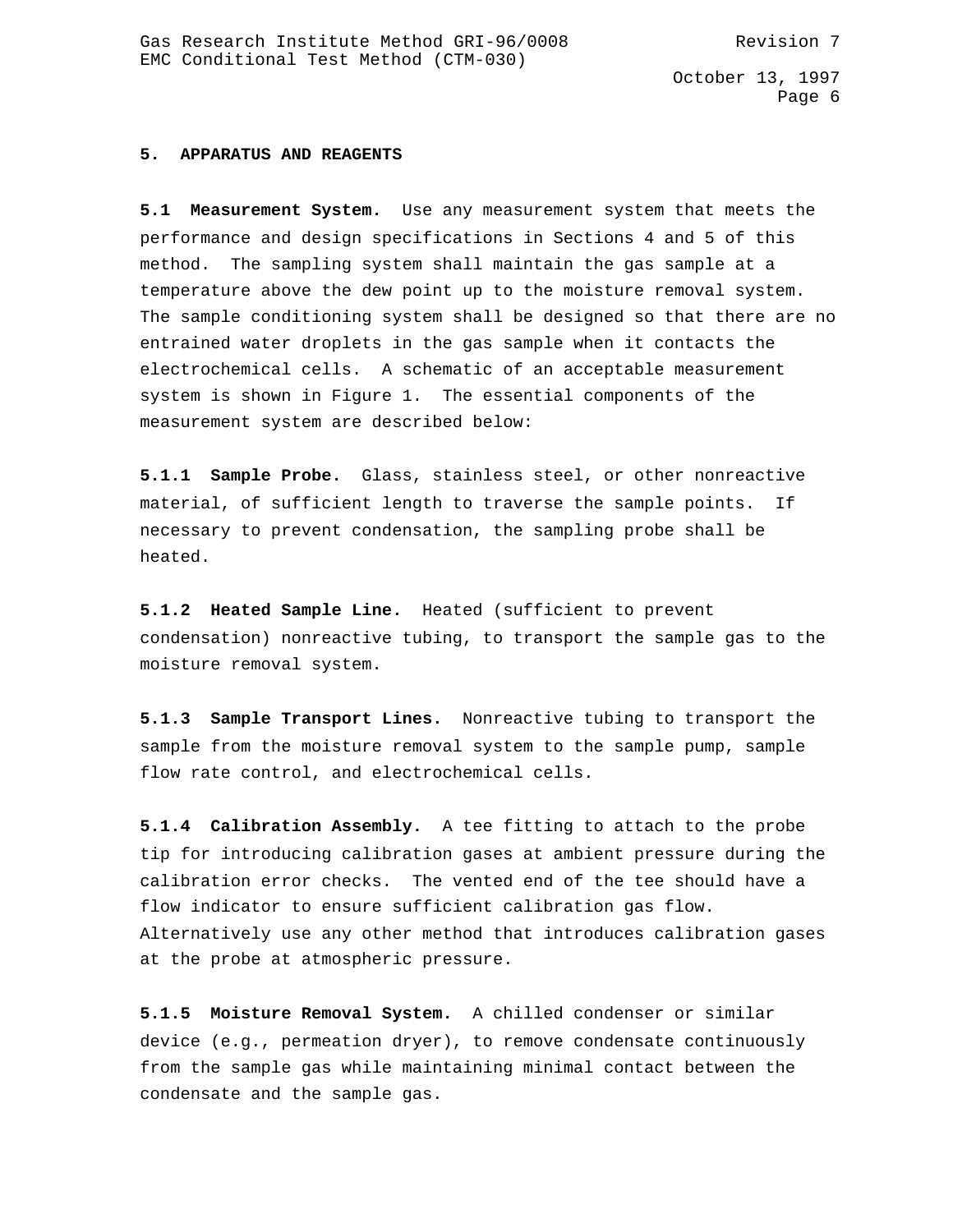### **5. APPARATUS AND REAGENTS**

**5.1 Measurement System.** Use any measurement system that meets the performance and design specifications in Sections 4 and 5 of this method. The sampling system shall maintain the gas sample at a temperature above the dew point up to the moisture removal system. The sample conditioning system shall be designed so that there are no entrained water droplets in the gas sample when it contacts the electrochemical cells. A schematic of an acceptable measurement system is shown in Figure 1. The essential components of the measurement system are described below:

**5.1.1 Sample Probe.** Glass, stainless steel, or other nonreactive material, of sufficient length to traverse the sample points. If necessary to prevent condensation, the sampling probe shall be heated.

**5.1.2 Heated Sample Line.** Heated (sufficient to prevent condensation) nonreactive tubing, to transport the sample gas to the moisture removal system.

**5.1.3 Sample Transport Lines.** Nonreactive tubing to transport the sample from the moisture removal system to the sample pump, sample flow rate control, and electrochemical cells.

**5.1.4 Calibration Assembly.** A tee fitting to attach to the probe tip for introducing calibration gases at ambient pressure during the calibration error checks. The vented end of the tee should have a flow indicator to ensure sufficient calibration gas flow. Alternatively use any other method that introduces calibration gases at the probe at atmospheric pressure.

**5.1.5 Moisture Removal System.** A chilled condenser or similar device (e.g., permeation dryer), to remove condensate continuously from the sample gas while maintaining minimal contact between the condensate and the sample gas.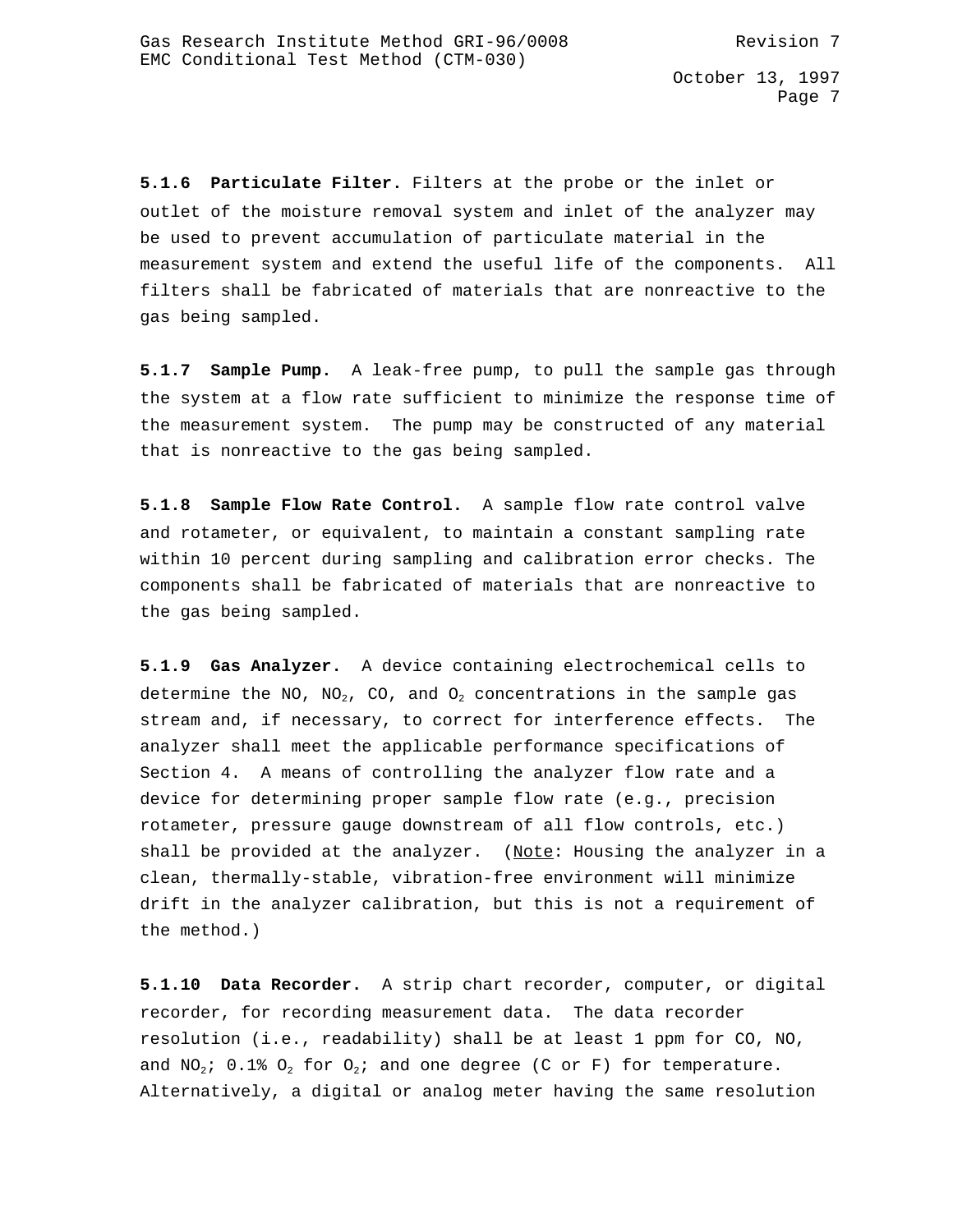**5.1.6 Particulate Filter.** Filters at the probe or the inlet or outlet of the moisture removal system and inlet of the analyzer may be used to prevent accumulation of particulate material in the measurement system and extend the useful life of the components. All filters shall be fabricated of materials that are nonreactive to the gas being sampled.

**5.1.7 Sample Pump.** A leak-free pump, to pull the sample gas through the system at a flow rate sufficient to minimize the response time of the measurement system. The pump may be constructed of any material that is nonreactive to the gas being sampled.

**5.1.8 Sample Flow Rate Control.** A sample flow rate control valve and rotameter, or equivalent, to maintain a constant sampling rate within 10 percent during sampling and calibration error checks. The components shall be fabricated of materials that are nonreactive to the gas being sampled.

**5.1.9 Gas Analyzer.** A device containing electrochemical cells to determine the NO, NO<sub>2</sub>, CO, and O<sub>2</sub> concentrations in the sample gas stream and, if necessary, to correct for interference effects. The analyzer shall meet the applicable performance specifications of Section 4. A means of controlling the analyzer flow rate and a device for determining proper sample flow rate (e.g., precision rotameter, pressure gauge downstream of all flow controls, etc.) shall be provided at the analyzer. (Note: Housing the analyzer in a clean, thermally-stable, vibration-free environment will minimize drift in the analyzer calibration, but this is not a requirement of the method.)

**5.1.10 Data Recorder.** A strip chart recorder, computer, or digital recorder, for recording measurement data. The data recorder resolution (i.e., readability) shall be at least 1 ppm for CO, NO, and NO<sub>2</sub>; 0.1% O<sub>2</sub> for O<sub>2</sub>; and one degree (C or F) for temperature. Alternatively, a digital or analog meter having the same resolution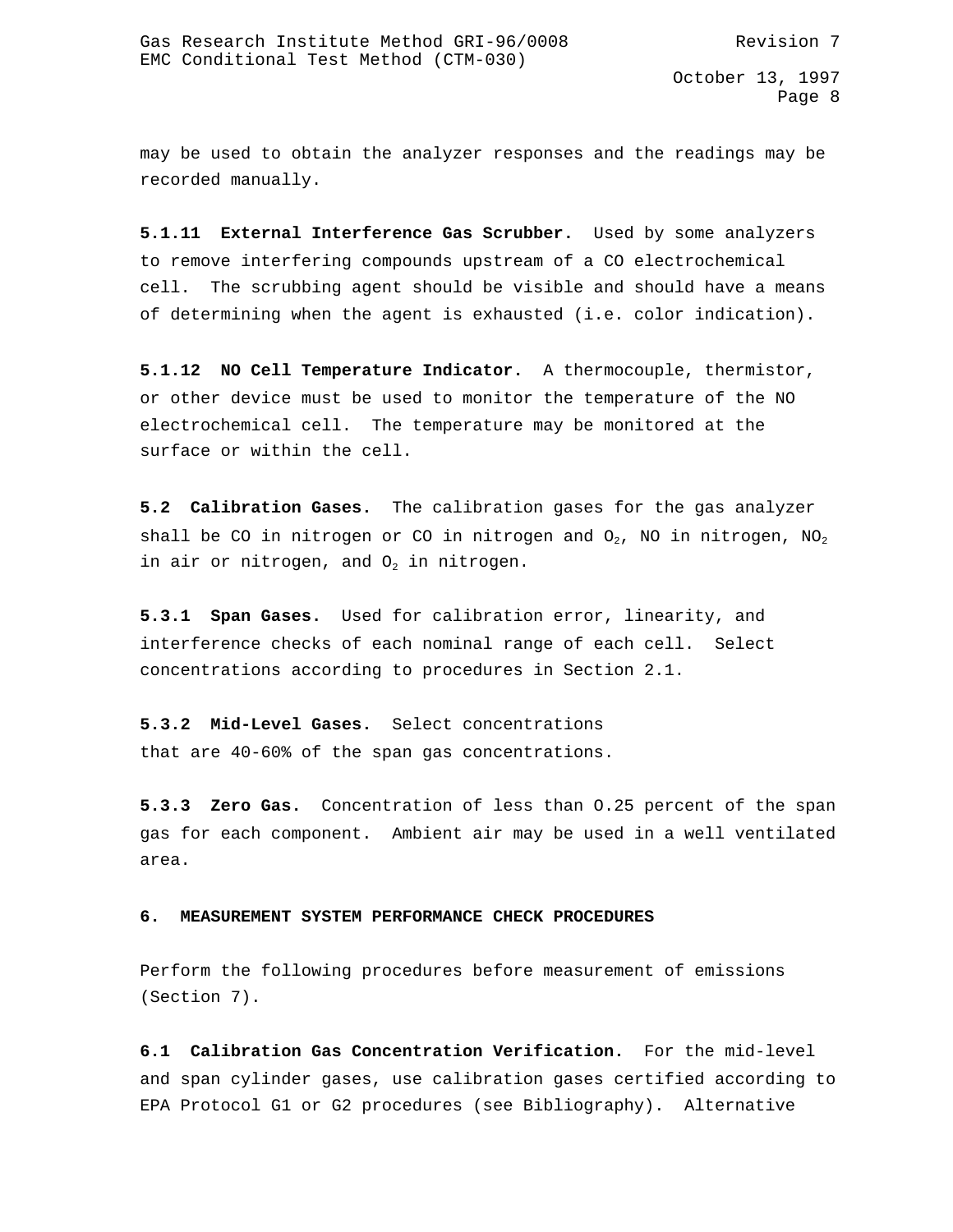may be used to obtain the analyzer responses and the readings may be recorded manually.

**5.1.11 External Interference Gas Scrubber.** Used by some analyzers to remove interfering compounds upstream of a CO electrochemical cell. The scrubbing agent should be visible and should have a means of determining when the agent is exhausted (i.e. color indication).

**5.1.12 NO Cell Temperature Indicator.** A thermocouple, thermistor, or other device must be used to monitor the temperature of the NO electrochemical cell. The temperature may be monitored at the surface or within the cell.

**5.2 Calibration Gases.** The calibration gases for the gas analyzer shall be CO in nitrogen or CO in nitrogen and  $O_2$ , NO in nitrogen, NO<sub>2</sub> in air or nitrogen, and  $0<sub>2</sub>$  in nitrogen.

**5.3.1 Span Gases.** Used for calibration error, linearity, and interference checks of each nominal range of each cell. Select concentrations according to procedures in Section 2.1.

**5.3.2 Mid-Level Gases.** Select concentrations that are 40-60% of the span gas concentrations.

**5.3.3 Zero Gas.** Concentration of less than O.25 percent of the span gas for each component. Ambient air may be used in a well ventilated area.

### **6. MEASUREMENT SYSTEM PERFORMANCE CHECK PROCEDURES**

Perform the following procedures before measurement of emissions (Section 7).

**6.1 Calibration Gas Concentration Verification.** For the mid-level and span cylinder gases, use calibration gases certified according to EPA Protocol G1 or G2 procedures (see Bibliography). Alternative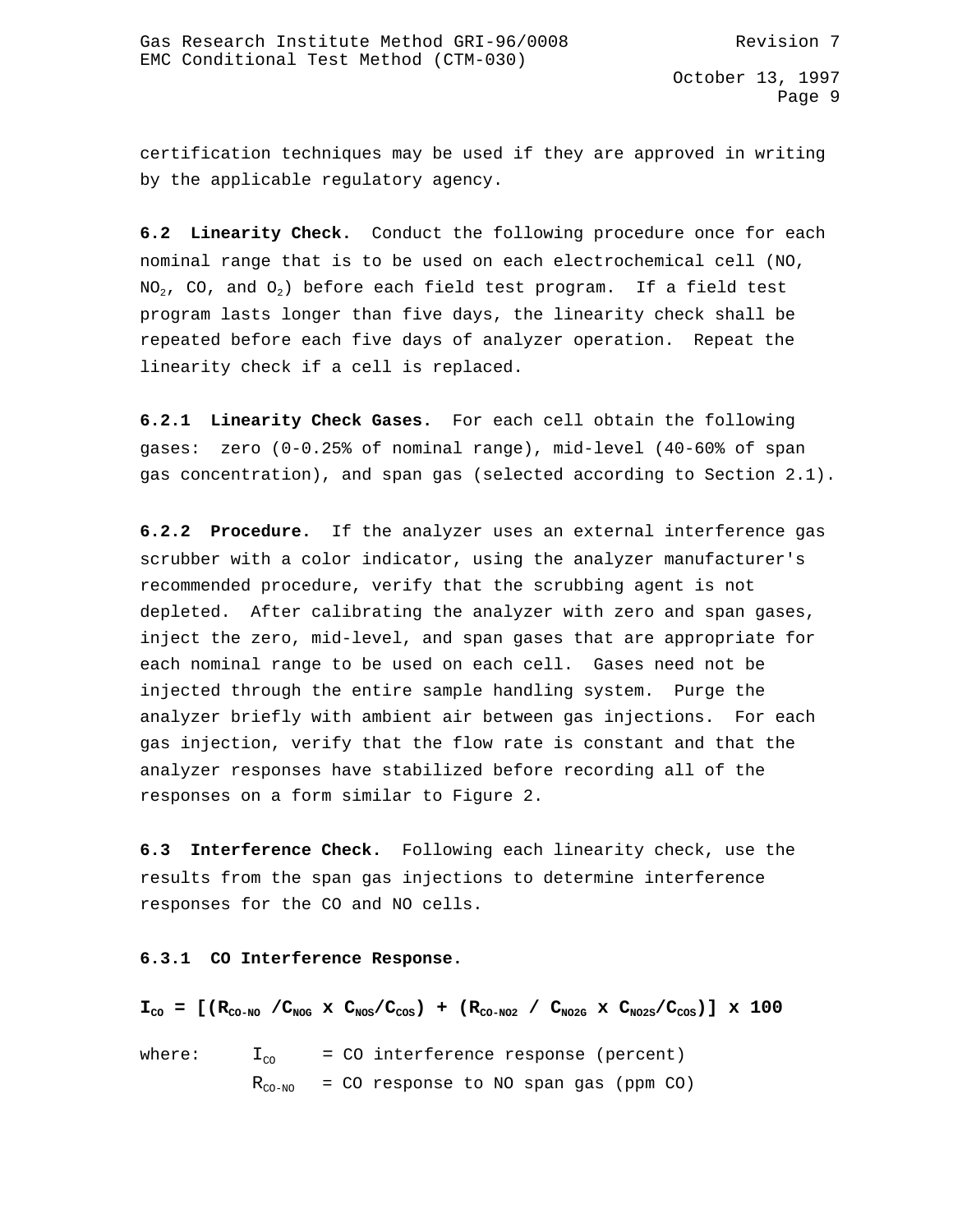certification techniques may be used if they are approved in writing by the applicable regulatory agency.

**6.2 Linearity Check.** Conduct the following procedure once for each nominal range that is to be used on each electrochemical cell (NO,  $NO<sub>2</sub>$ , CO, and  $O<sub>2</sub>$ ) before each field test program. If a field test program lasts longer than five days, the linearity check shall be repeated before each five days of analyzer operation. Repeat the linearity check if a cell is replaced.

**6.2.1 Linearity Check Gases.** For each cell obtain the following gases: zero (0-0.25% of nominal range), mid-level (40-60% of span gas concentration), and span gas (selected according to Section 2.1).

**6.2.2 Procedure.** If the analyzer uses an external interference gas scrubber with a color indicator, using the analyzer manufacturer's recommended procedure, verify that the scrubbing agent is not depleted. After calibrating the analyzer with zero and span gases, inject the zero, mid-level, and span gases that are appropriate for each nominal range to be used on each cell. Gases need not be injected through the entire sample handling system. Purge the analyzer briefly with ambient air between gas injections. For each gas injection, verify that the flow rate is constant and that the analyzer responses have stabilized before recording all of the responses on a form similar to Figure 2.

**6.3 Interference Check.** Following each linearity check, use the results from the span gas injections to determine interference responses for the CO and NO cells.

**6.3.1 CO Interference Response.**

 $I_{\text{CO}} = [ (R_{\text{CO-NO}} / C_{\text{NOG}} \times C_{\text{NOS}} / C_{\text{COS}}) + (R_{\text{CO-NO2}} / C_{\text{NO2G}} \times C_{\text{NO2S}} / C_{\text{COS}}) ] \times 100$ 

where:  $I_{\text{co}}$  = CO interference response (percent)  $R_{CO-NO}$  = CO response to NO span gas (ppm CO)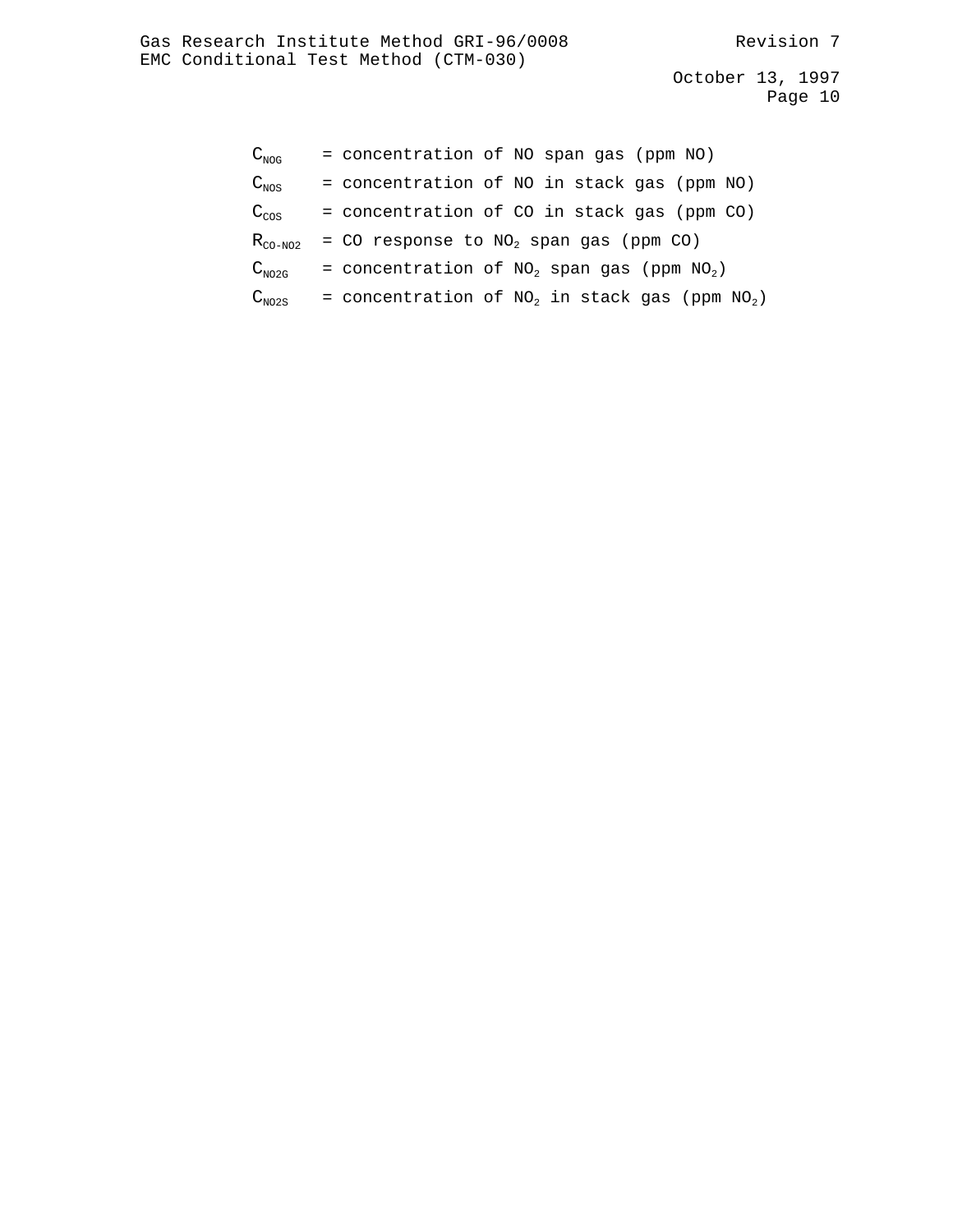| $\mathrm{C_{\scriptscriptstyle NOG}}$ | = concentration of NO span gas (ppm NO)            |
|---------------------------------------|----------------------------------------------------|
| $\texttt{C}_{\texttt{NOS}}^{}$        | = concentration of NO in stack gas (ppm NO)        |
| $\rm C_{\rm cos}$                     | = concentration of CO in stack gas (ppm CO)        |
| $\rm R_{\rm CO-NO2}$                  | = CO response to $NO2$ span gas (ppm CO)           |
| $\text{C}_{\text{NO2G}}$              | = concentration of $NO_2$ span gas (ppm $NO_2$ )   |
| $\textsf{C}_\texttt{NO2S}$            | = concentration of $NO2$ in stack gas (ppm $NO2$ ) |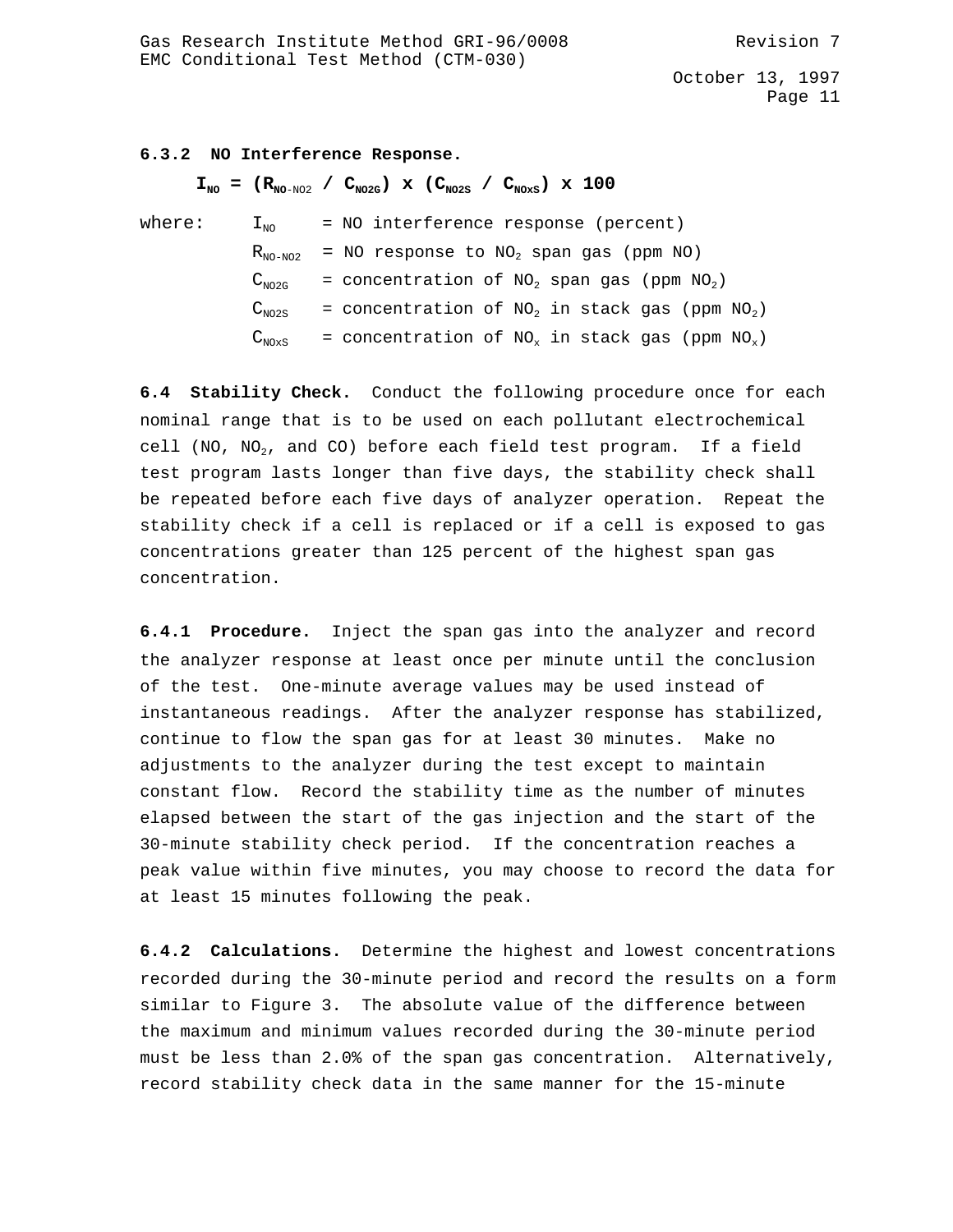### **6.3.2 NO Interference Response.**

 $I_{\text{NO}} = (R_{\text{NO-NO2}} / C_{\text{NO2G}}) \times (C_{\text{NO2S}} / C_{\text{NO2S}}) \times 100$ 

| where: | $\perp_{\text{NO}}$ | = NO interference response (percent)                            |
|--------|---------------------|-----------------------------------------------------------------|
|        |                     | $R_{NO-NO2}$ = NO response to NO <sub>2</sub> span gas (ppm NO) |
|        | $C_{NO2G}$          | = concentration of $NO2$ span gas (ppm $NO2$ )                  |
|        | $C_{NO2S}$          | = concentration of $NO2$ in stack gas (ppm $NO2$ )              |
|        | $C_{N0xS}$          | = concentration of $NO_x$ in stack gas (ppm $NO_x$ )            |

**6.4 Stability Check.** Conduct the following procedure once for each nominal range that is to be used on each pollutant electrochemical cell (NO, NO<sub>2</sub>, and CO) before each field test program. If a field test program lasts longer than five days, the stability check shall be repeated before each five days of analyzer operation. Repeat the stability check if a cell is replaced or if a cell is exposed to gas concentrations greater than 125 percent of the highest span gas concentration.

**6.4.1 Procedure.** Inject the span gas into the analyzer and record the analyzer response at least once per minute until the conclusion of the test. One-minute average values may be used instead of instantaneous readings. After the analyzer response has stabilized, continue to flow the span gas for at least 30 minutes. Make no adjustments to the analyzer during the test except to maintain constant flow. Record the stability time as the number of minutes elapsed between the start of the gas injection and the start of the 30-minute stability check period. If the concentration reaches a peak value within five minutes, you may choose to record the data for at least 15 minutes following the peak.

**6.4.2 Calculations.** Determine the highest and lowest concentrations recorded during the 30-minute period and record the results on a form similar to Figure 3. The absolute value of the difference between the maximum and minimum values recorded during the 30-minute period must be less than 2.0% of the span gas concentration. Alternatively, record stability check data in the same manner for the 15-minute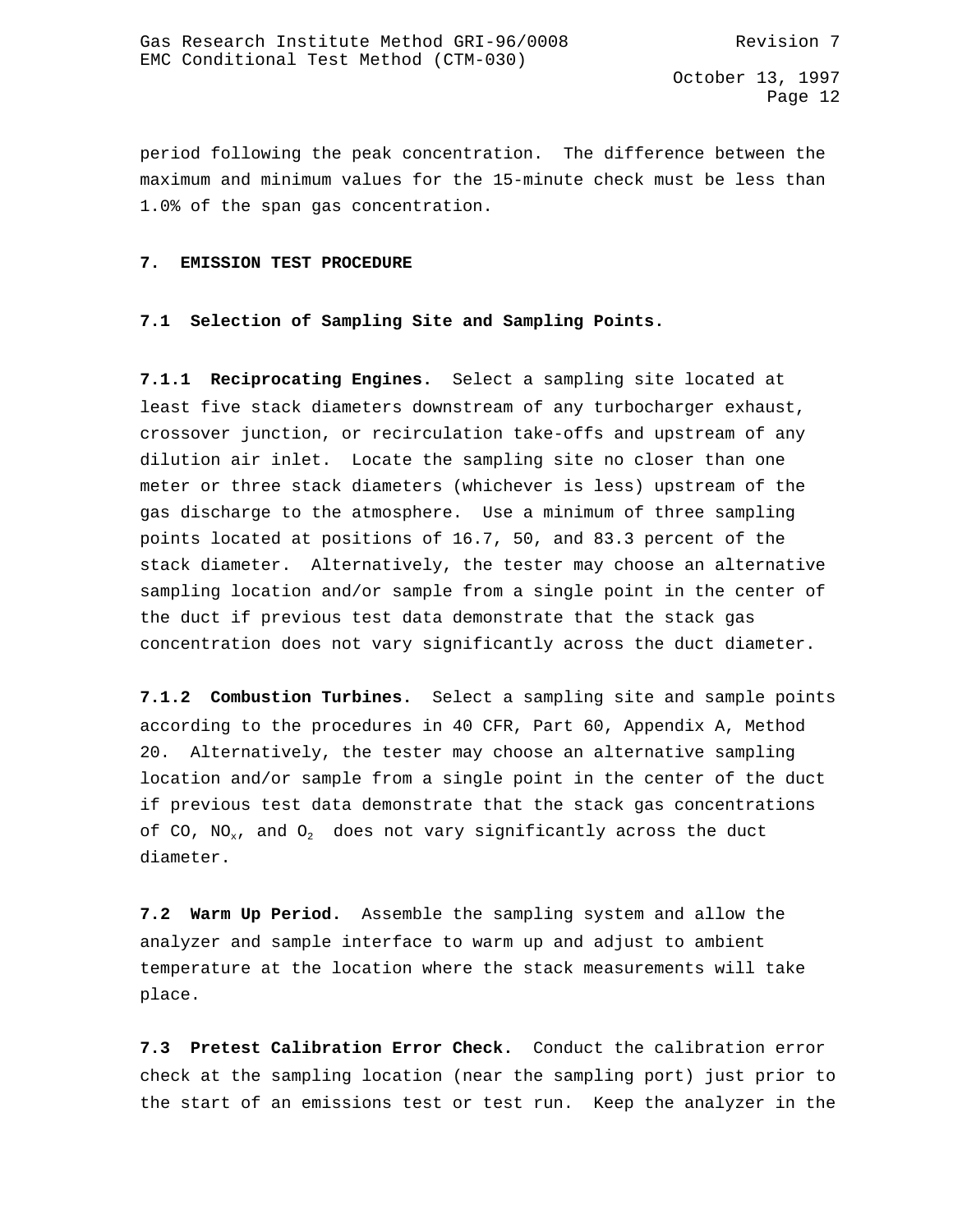period following the peak concentration. The difference between the maximum and minimum values for the 15-minute check must be less than 1.0% of the span gas concentration.

#### **7. EMISSION TEST PROCEDURE**

### **7.1 Selection of Sampling Site and Sampling Points.**

**7.1.1 Reciprocating Engines.** Select a sampling site located at least five stack diameters downstream of any turbocharger exhaust, crossover junction, or recirculation take-offs and upstream of any dilution air inlet. Locate the sampling site no closer than one meter or three stack diameters (whichever is less) upstream of the gas discharge to the atmosphere. Use a minimum of three sampling points located at positions of 16.7, 50, and 83.3 percent of the stack diameter. Alternatively, the tester may choose an alternative sampling location and/or sample from a single point in the center of the duct if previous test data demonstrate that the stack gas concentration does not vary significantly across the duct diameter.

**7.1.2 Combustion Turbines.** Select a sampling site and sample points according to the procedures in 40 CFR, Part 60, Appendix A, Method 20. Alternatively, the tester may choose an alternative sampling location and/or sample from a single point in the center of the duct if previous test data demonstrate that the stack gas concentrations of CO,  $NO_x$ , and  $O_2$  does not vary significantly across the duct diameter.

**7.2 Warm Up Period.** Assemble the sampling system and allow the analyzer and sample interface to warm up and adjust to ambient temperature at the location where the stack measurements will take place.

**7.3 Pretest Calibration Error Check.** Conduct the calibration error check at the sampling location (near the sampling port) just prior to the start of an emissions test or test run. Keep the analyzer in the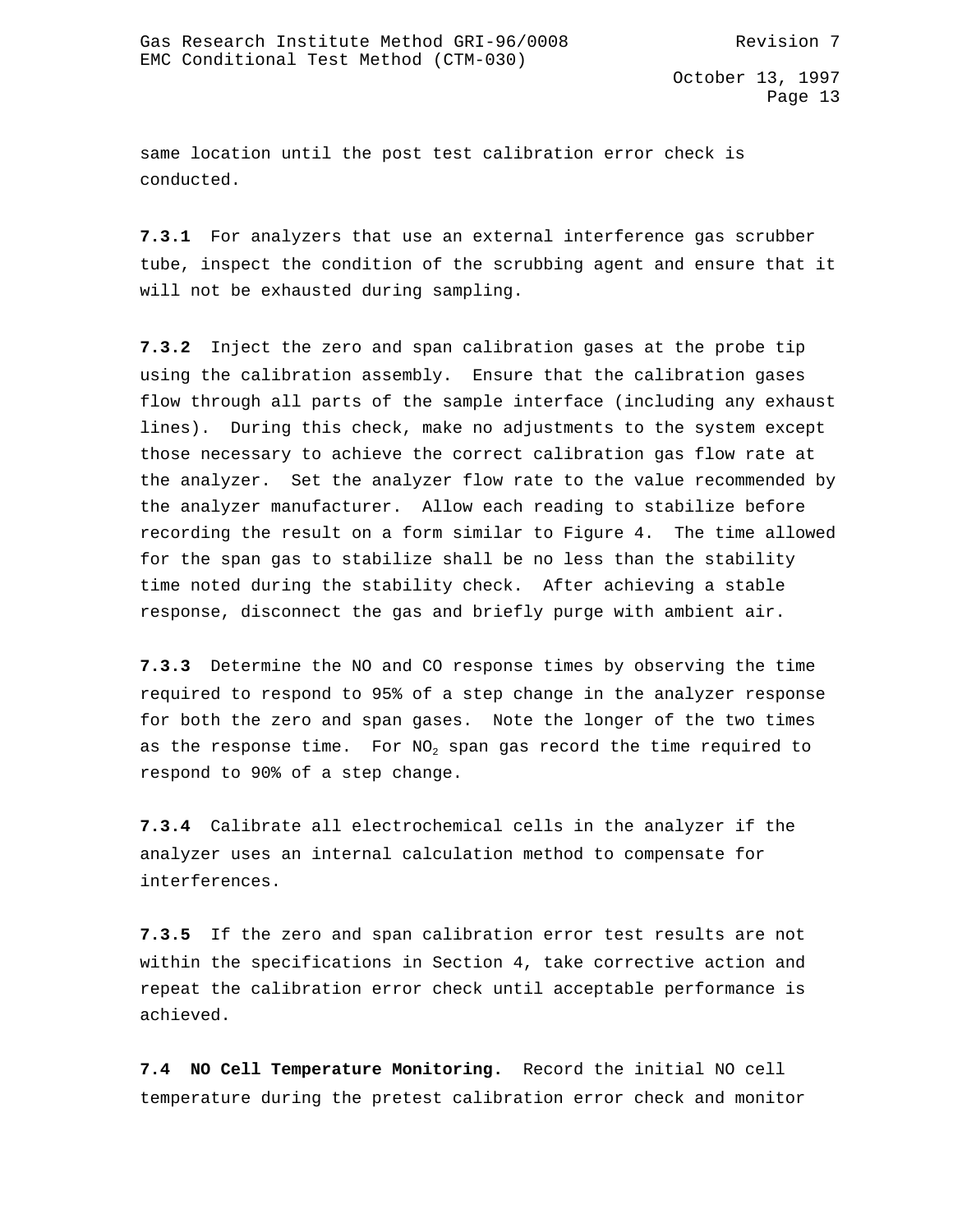same location until the post test calibration error check is conducted.

**7.3.1** For analyzers that use an external interference gas scrubber tube, inspect the condition of the scrubbing agent and ensure that it will not be exhausted during sampling.

**7.3.2** Inject the zero and span calibration gases at the probe tip using the calibration assembly. Ensure that the calibration gases flow through all parts of the sample interface (including any exhaust lines). During this check, make no adjustments to the system except those necessary to achieve the correct calibration gas flow rate at the analyzer. Set the analyzer flow rate to the value recommended by the analyzer manufacturer. Allow each reading to stabilize before recording the result on a form similar to Figure 4. The time allowed for the span gas to stabilize shall be no less than the stability time noted during the stability check. After achieving a stable response, disconnect the gas and briefly purge with ambient air.

**7.3.3** Determine the NO and CO response times by observing the time required to respond to 95% of a step change in the analyzer response for both the zero and span gases. Note the longer of the two times as the response time. For  $NO<sub>2</sub>$  span gas record the time required to respond to 90% of a step change.

**7.3.4** Calibrate all electrochemical cells in the analyzer if the analyzer uses an internal calculation method to compensate for interferences.

**7.3.5** If the zero and span calibration error test results are not within the specifications in Section 4, take corrective action and repeat the calibration error check until acceptable performance is achieved.

**7.4 NO Cell Temperature Monitoring.** Record the initial NO cell temperature during the pretest calibration error check and monitor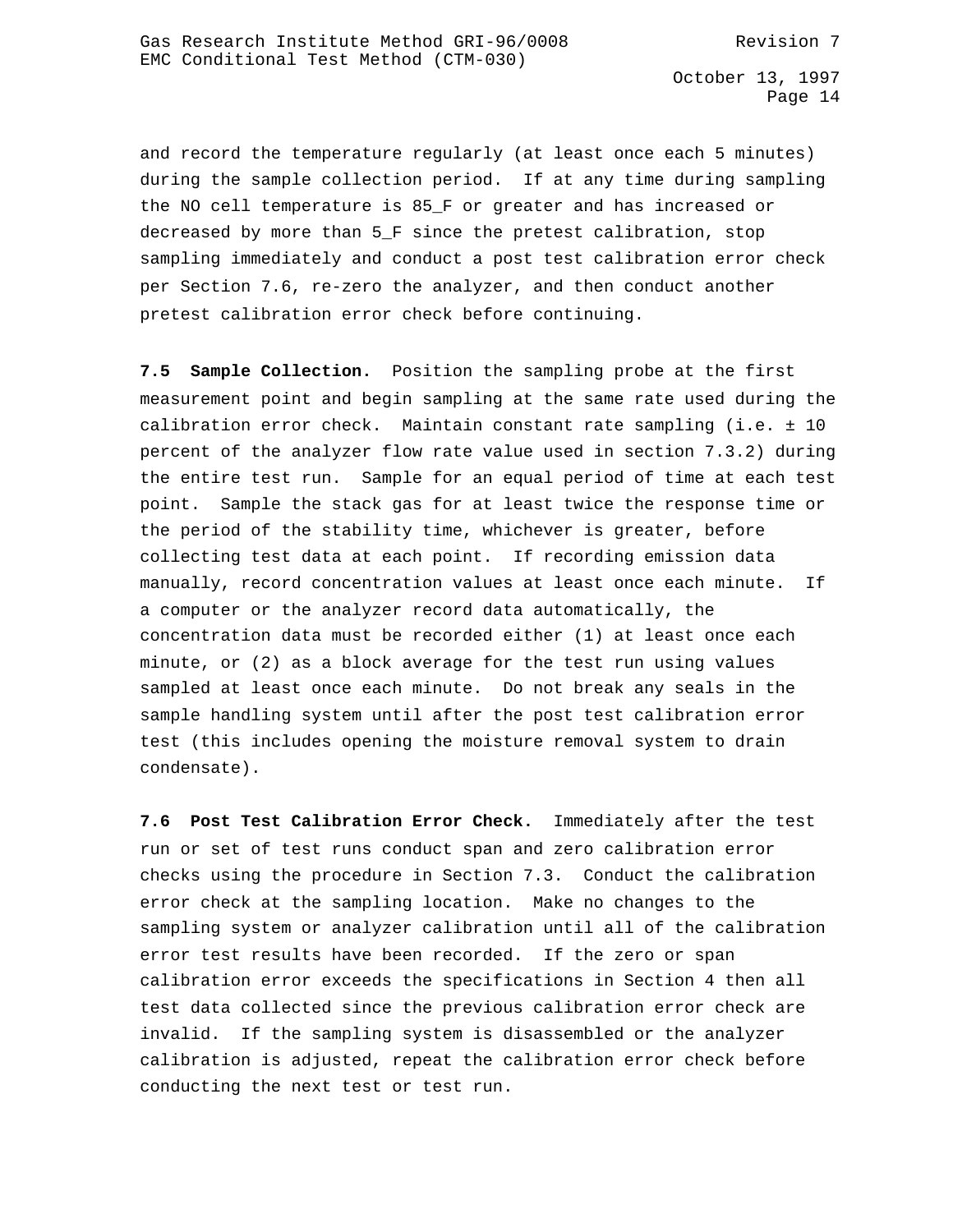and record the temperature regularly (at least once each 5 minutes) during the sample collection period. If at any time during sampling the NO cell temperature is 85\_F or greater and has increased or decreased by more than 5 F since the pretest calibration, stop sampling immediately and conduct a post test calibration error check per Section 7.6, re-zero the analyzer, and then conduct another pretest calibration error check before continuing.

**7.5 Sample Collection.** Position the sampling probe at the first measurement point and begin sampling at the same rate used during the calibration error check. Maintain constant rate sampling (i.e. ± 10 percent of the analyzer flow rate value used in section 7.3.2) during the entire test run. Sample for an equal period of time at each test point. Sample the stack gas for at least twice the response time or the period of the stability time, whichever is greater, before collecting test data at each point. If recording emission data manually, record concentration values at least once each minute. If a computer or the analyzer record data automatically, the concentration data must be recorded either (1) at least once each minute, or (2) as a block average for the test run using values sampled at least once each minute. Do not break any seals in the sample handling system until after the post test calibration error test (this includes opening the moisture removal system to drain condensate).

**7.6 Post Test Calibration Error Check.** Immediately after the test run or set of test runs conduct span and zero calibration error checks using the procedure in Section 7.3. Conduct the calibration error check at the sampling location. Make no changes to the sampling system or analyzer calibration until all of the calibration error test results have been recorded. If the zero or span calibration error exceeds the specifications in Section 4 then all test data collected since the previous calibration error check are invalid. If the sampling system is disassembled or the analyzer calibration is adjusted, repeat the calibration error check before conducting the next test or test run.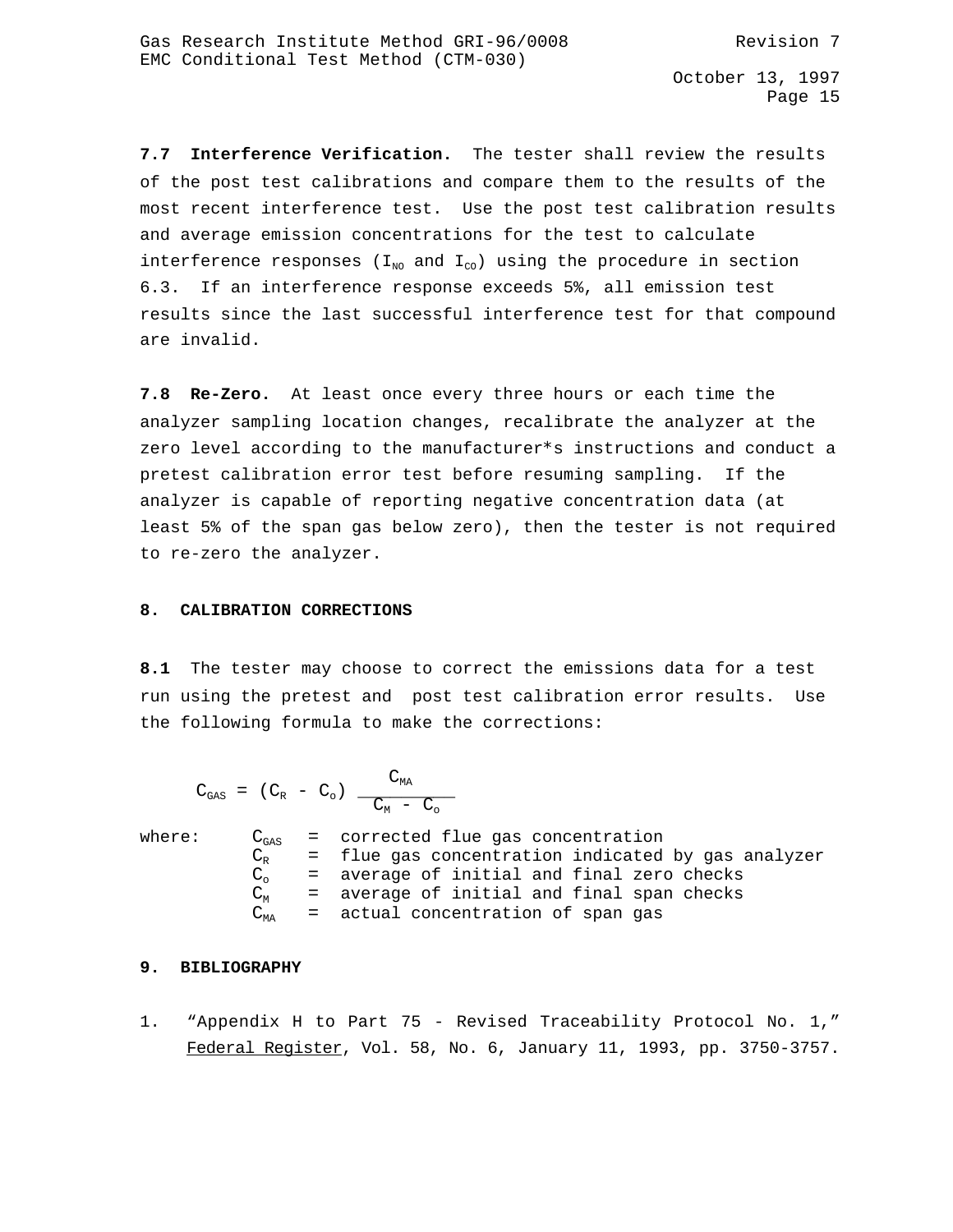**7.7 Interference Verification.** The tester shall review the results of the post test calibrations and compare them to the results of the most recent interference test. Use the post test calibration results and average emission concentrations for the test to calculate interference responses ( $I_{N_0}$  and  $I_{C_0}$ ) using the procedure in section 6.3. If an interference response exceeds 5%, all emission test results since the last successful interference test for that compound are invalid.

**7.8 Re-Zero.** At least once every three hours or each time the analyzer sampling location changes, recalibrate the analyzer at the zero level according to the manufacturer\*s instructions and conduct a pretest calibration error test before resuming sampling. If the analyzer is capable of reporting negative concentration data (at least 5% of the span gas below zero), then the tester is not required to re-zero the analyzer.

#### **8. CALIBRATION CORRECTIONS**

**8.1** The tester may choose to correct the emissions data for a test run using the pretest and post test calibration error results. Use the following formula to make the corrections:

 $C_{\text{MA}}$  $C_{\text{GAS}} = (C_R - C_o)$  $C_M - C_o$ where:  $C_{gas}$  = corrected flue gas concentration  $C_R$  = flue gas concentration indicated by gas analyzer  $C_0$  = average of initial and final zero checks  $C_M$  = average of initial and final span checks  $C_{MA}$  = actual concentration of span gas

# **9. BIBLIOGRAPHY**

1. "Appendix H to Part 75 - Revised Traceability Protocol No. 1," Federal Register, Vol. 58, No. 6, January 11, 1993, pp. 3750-3757.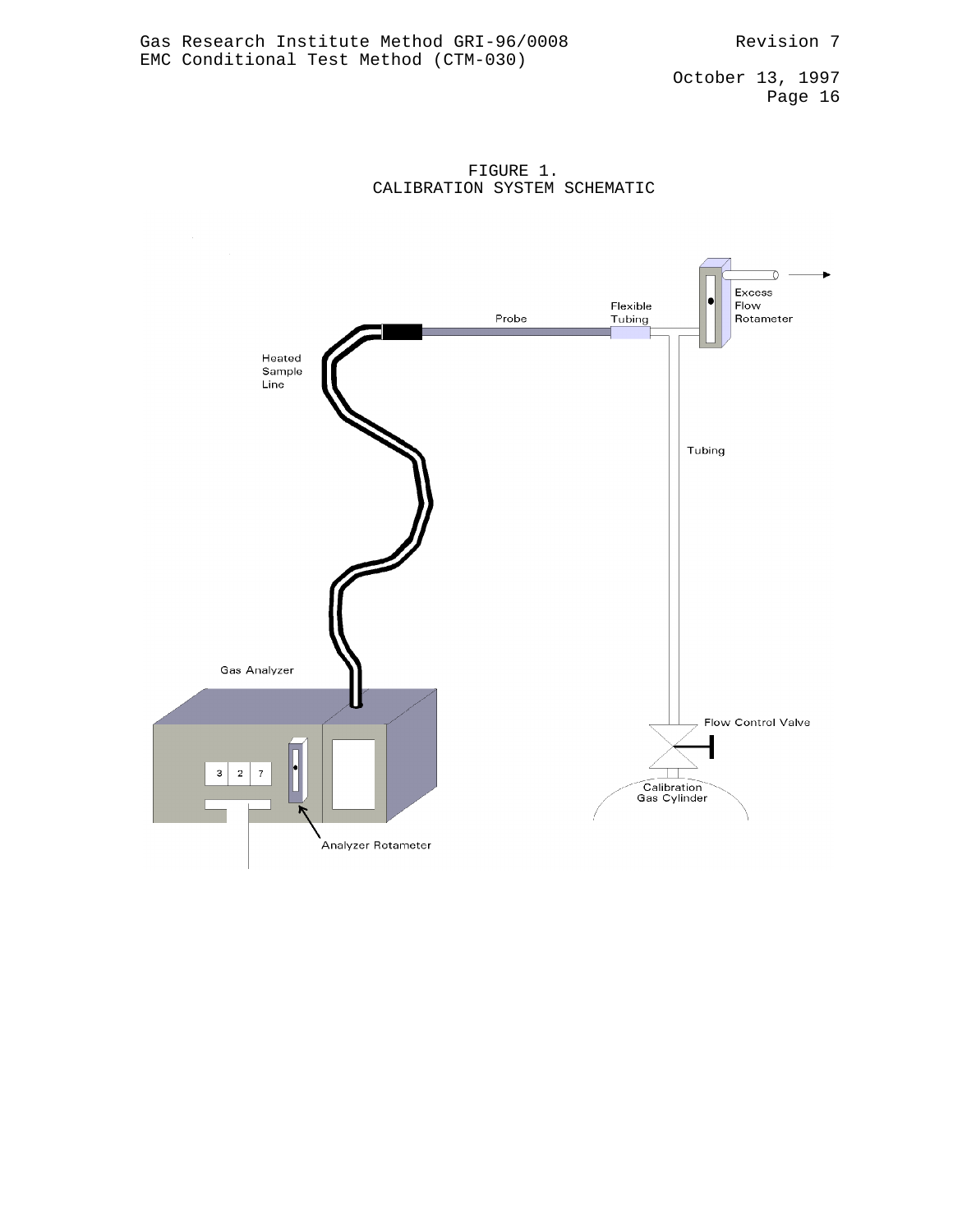FIGURE 1. CALIBRATION SYSTEM SCHEMATIC

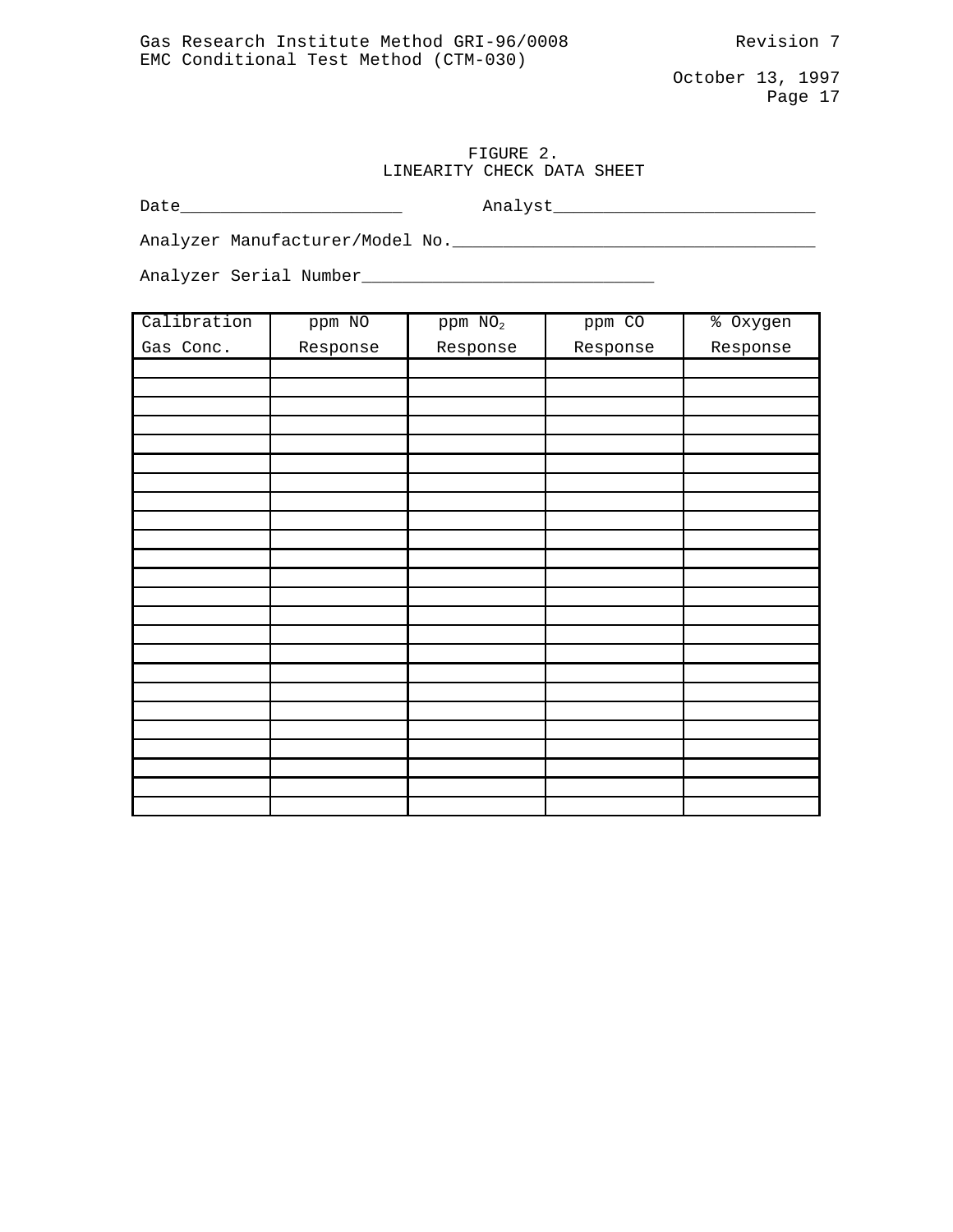# FIGURE 2. LINEARITY CHECK DATA SHEET

Date\_\_\_\_\_\_\_\_\_\_\_\_\_\_\_\_\_\_\_\_\_\_ Analyst\_\_\_\_\_\_\_\_\_\_\_\_\_\_\_\_\_\_\_\_\_\_\_\_\_\_

Analyzer Manufacturer/Model No.\_\_\_\_\_\_\_\_\_\_\_\_\_\_\_\_\_\_\_\_\_\_\_\_\_\_\_\_\_\_\_\_\_\_\_\_

Analyzer Serial Number\_\_\_\_\_\_\_\_\_\_\_\_\_\_\_\_\_\_\_\_\_\_\_\_\_\_\_\_\_

| Calibration | ppm NO   | $ppm$ $NO2$ | ppm CO   | % Oxygen |
|-------------|----------|-------------|----------|----------|
| Gas Conc.   | Response | Response    | Response | Response |
|             |          |             |          |          |
|             |          |             |          |          |
|             |          |             |          |          |
|             |          |             |          |          |
|             |          |             |          |          |
|             |          |             |          |          |
|             |          |             |          |          |
|             |          |             |          |          |
|             |          |             |          |          |
|             |          |             |          |          |
|             |          |             |          |          |
|             |          |             |          |          |
|             |          |             |          |          |
|             |          |             |          |          |
|             |          |             |          |          |
|             |          |             |          |          |
|             |          |             |          |          |
|             |          |             |          |          |
|             |          |             |          |          |
|             |          |             |          |          |
|             |          |             |          |          |
|             |          |             |          |          |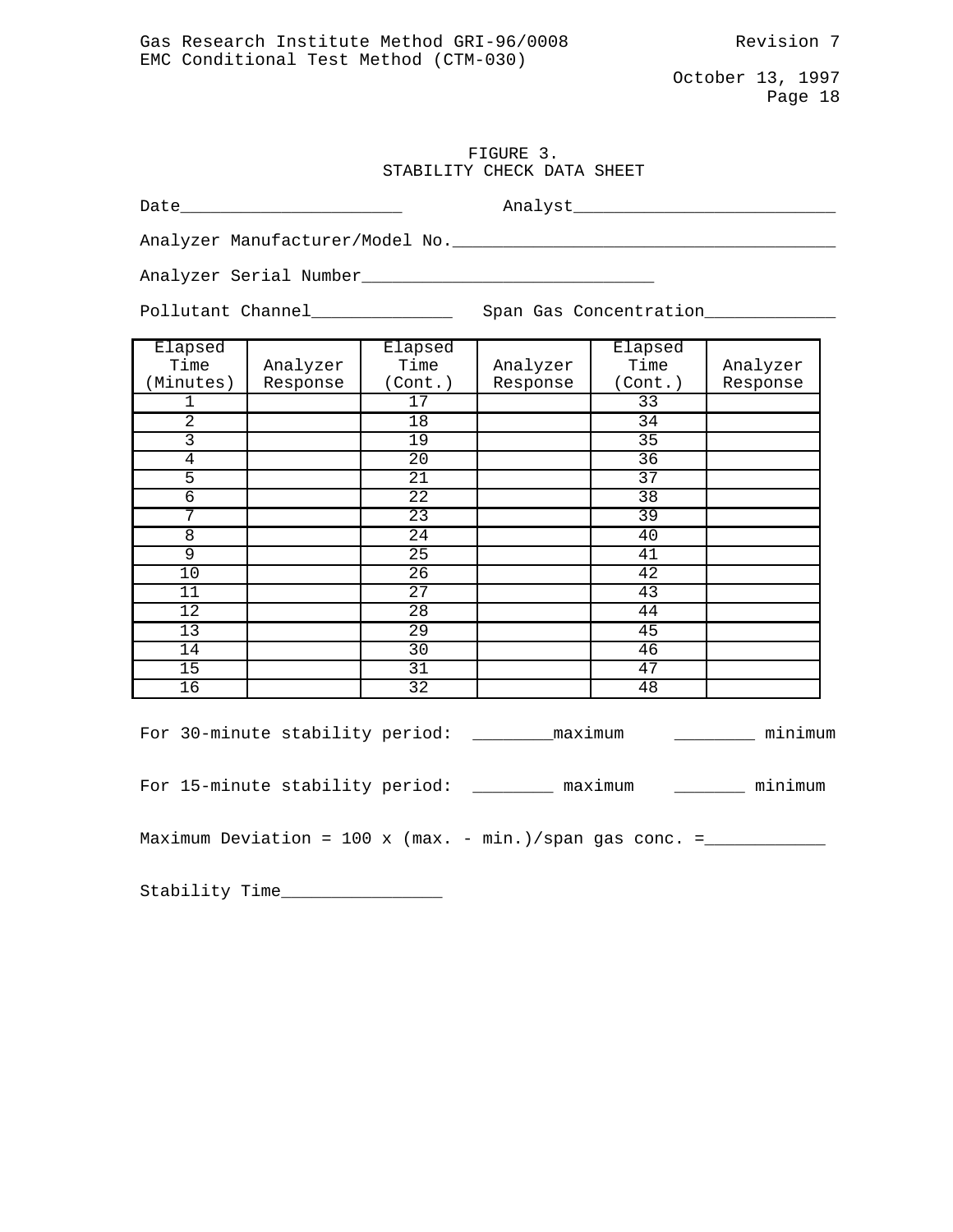# FIGURE 3. STABILITY CHECK DATA SHEET

Date\_\_\_\_\_\_\_\_\_\_\_\_\_\_\_\_\_\_\_\_\_\_ Analyst\_\_\_\_\_\_\_\_\_\_\_\_\_\_\_\_\_\_\_\_\_\_\_\_\_\_

Analyzer Manufacturer/Model No.\_\_\_\_\_\_\_\_\_\_\_\_\_\_\_\_\_\_\_\_\_\_\_\_\_\_\_\_\_\_\_\_\_\_\_\_\_\_

Analyzer Serial Number\_\_\_\_\_\_\_\_\_\_\_\_\_\_\_\_\_\_\_\_\_\_\_\_\_\_\_\_\_

Pollutant Channel\_\_\_\_\_\_\_\_\_\_\_\_\_\_\_\_\_\_\_ Span Gas Concentration\_\_\_\_\_\_\_\_\_\_\_\_\_\_\_\_\_\_\_\_\_

| Elapsed        |          | Elapsed         |          | Elapsed         |          |
|----------------|----------|-----------------|----------|-----------------|----------|
| Time           | Analyzer | Time            | Analyzer | Time            | Analyzer |
| (Minutes)      | Response | (Cont.)         | Response | (Cont.)         | Response |
|                |          | 17              |          | 33              |          |
| 2              |          | 18              |          | 34              |          |
| 3              |          | $\overline{19}$ |          | 35              |          |
| $\overline{4}$ |          | 20              |          | 36              |          |
| 5              |          | $\overline{21}$ |          | $\overline{37}$ |          |
| 6              |          | 22              |          | $\overline{38}$ |          |
| 7              |          | 23              |          | 39              |          |
| 8              |          | $\overline{24}$ |          | 40              |          |
| 9              |          | 25              |          | 41              |          |
| 10             |          | 26              |          | 42              |          |
| 11             |          | $\overline{27}$ |          | 43              |          |
| 12             |          | $\overline{28}$ |          | 44              |          |
| 13             |          | $\overline{29}$ |          | 45              |          |
| 14             |          | 30              |          | 46              |          |
| 15             |          | 31              |          | 47              |          |
| 16             |          | $\overline{32}$ |          | 48              |          |

| For 30-minute stability period: |  |  | maximum                                                  | minimum |
|---------------------------------|--|--|----------------------------------------------------------|---------|
| For 15-minute stability period: |  |  | maximum                                                  | minimum |
|                                 |  |  | Maximum Deviation = 100 x (max. - min.)/span gas conc. = |         |

Stability Time\_\_\_\_\_\_\_\_\_\_\_\_\_\_\_\_